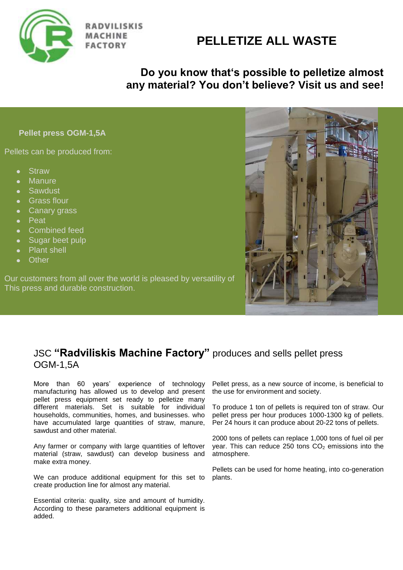

**RADVILISKIS FACTORY** 

# **PELLETIZE ALL WASTE**

## **Do you know that's possible to pelletize almost any material? You don't believe? Visit us and see!**

#### **Pellet press OGM-1,5A**

Pellets can be produced from:

- **Straw**  $\bullet$
- **Manure**
- **•** Sawdust
- Grass flour
- Canary grass  $\bullet$
- Peat  $\bullet$
- Combined feed  $\bullet$
- Sugar beet pulp  $\bullet$
- Plant shell  $\bullet$
- **Other**

Our customers from all over the world is pleased by versatility of This press and durable construction.



### JSC **"Radviliskis Machine Factory"** produces and sells pellet press OGM-1,5A

More than 60 years' experience of technology manufacturing has allowed us to develop and present pellet press equipment set ready to pelletize many different materials. Set is suitable for individual households, communities, homes, and businesses. who have accumulated large quantities of straw, manure, sawdust and other material.

Any farmer or company with large quantities of leftover material (straw, sawdust) can develop business and make extra money.

We can produce additional equipment for this set to create production line for almost any material.

Essential criteria: quality, size and amount of humidity. According to these parameters additional equipment is added.

Pellet press, as a new source of income, is beneficial to the use for environment and society.

To produce 1 ton of pellets is required ton of straw. Our pellet press per hour produces 1000-1300 kg of pellets. Per 24 hours it can produce about 20-22 tons of pellets.

2000 tons of pellets can replace 1,000 tons of fuel oil per year. This can reduce 250 tons  $CO<sub>2</sub>$  emissions into the atmosphere.

Pellets can be used for home heating, into co-generation plants.